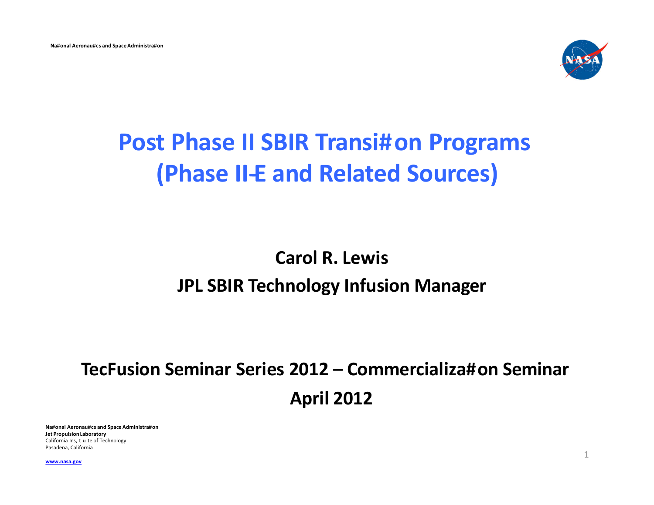

# **Post Phase II SBIR Transi#on Programs (Phase II-E and Related Sources)**

### **Carol R. Lewis JPL SBIR Technology Infusion Manager**

## **TecFusion Seminar Series 2012 – Commercializa#on Seminar April 2012**

**Na#onal Aeronau#cs and Space Administra#on Jet Propulsion Laboratory**  California Ins, t u te of Technology Pasadena, California

<sup>1</sup> **[www.nasa.gov](http://www.nasa.gov/)**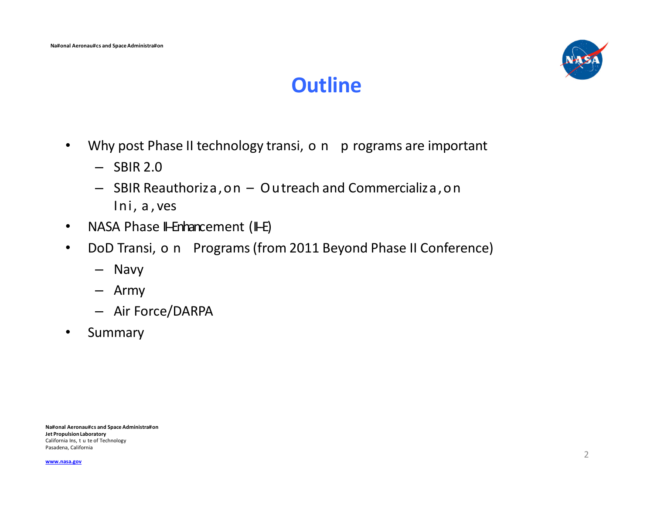

### **Outline**

- Why post Phase II technology transi, o n p rograms are important
	- $-$  SBIR 2.0
	- SBIR Reauthoriza,on Outreach and Commercializa,on Ini, a , ves
- NASA Phase II-Enhancement (II-E)
- DoD Transi, o n Programs (from 2011 Beyond Phase II Conference)
	- Navy
	- Army
	- Air Force/DARPA
- Summary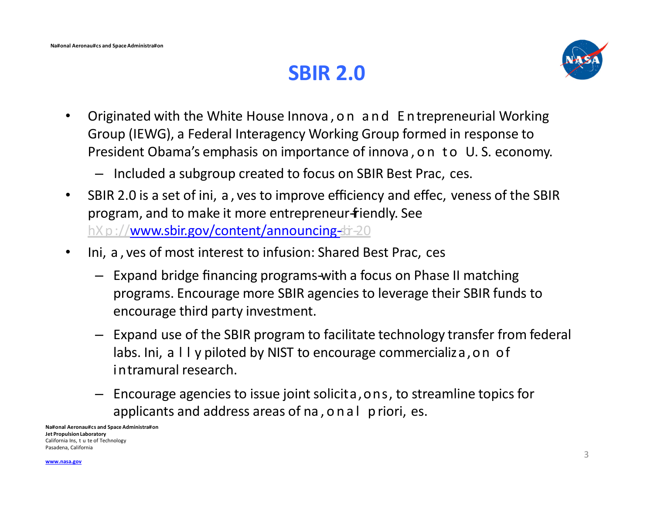### **SBIR 2.0**



- Originated with the White House Innova,on and Entrepreneurial Working Group (IEWG), a Federal Interagency Working Group formed in response to President Obama's emphasis on importance of innova, on to U.S. economy.
	- Included a subgroup created to focus on SBIR Best Prac, ces.
- SBIR 2.0 is a set of ini, a , ves to improve efficiency and effec, veness of the SBIR program, and to make it more entrepreneur-friendly. See hX p://www.sbir.gov/content/announcing-bi-20
- Ini, a , ves of most interest to infusion: Shared Best Prac, ces
	- Expand bridge financing programs-with a focus on Phase II matching programs. Encourage more SBIR agencies to leverage their SBIR funds to encourage third party investment.
	- Expand use of the SBIR program to facilitate technology transfer from federal labs. Ini, a II y piloted by NIST to encourage commercializa, on of intramural research.
	- Encourage agencies to issue joint solicita,ons, to streamline topics for applicants and address areas of na, o n a l p riori, es.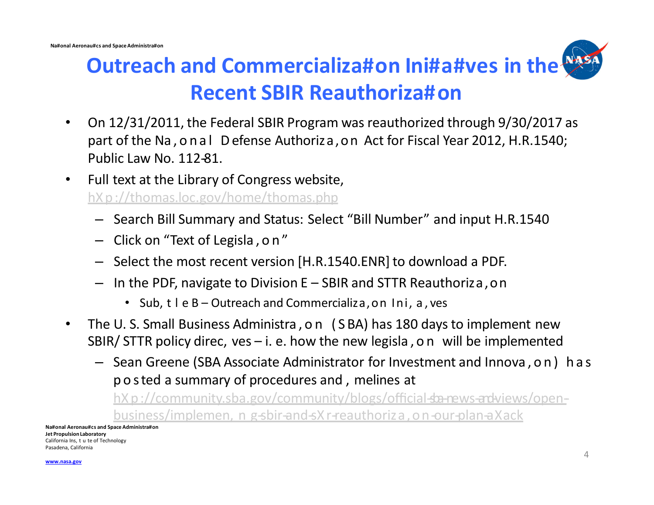

- On 12/31/2011, the Federal SBIR Program was reauthorized through 9/30/2017 as part of the Na,onal Defense Authoriza,on Act for Fiscal Year 2012, H.R.1540; Public Law No. 112-81.
- Full text at the Library of Congress website, hX p://thomas.loc.gov/home/thomas.php
	- Search Bill Summary and Status: Select "Bill Number" and input H.R.1540
	- Click on "Text of Legisla , on"
	- Select the most recent version [H.R.1540.ENR] to download a PDF.
	- In the PDF, navigate to Division E SBIR and STTR Reauthoriza,on
		- Sub, t I e B Outreach and Commercializa, on Ini, a, ves
- The U. S. Small Business Administra,on (S BA) has 180 days to implement new SBIR/ STTR policy direc, ves  $-$  i. e. how the new legisla, on will be implemented
	- Sean Greene (SBA Associate Administrator for Investment and Innova,on) has posted a summary of procedures and , melines at

business/implemen, n g-sbir-and-sX r-reauthoriza, on-our-plan-aXack hX p://community.sba.gov/community/blogs/official-sta-news-and-views/open-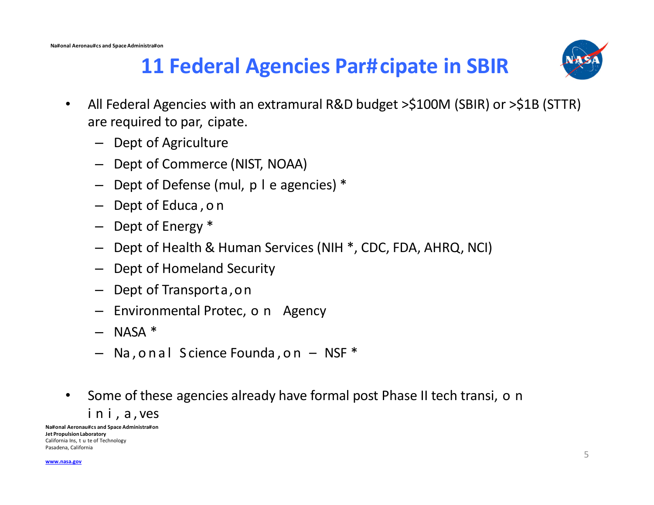

## **11 Federal Agencies Par#cipate in SBIR**

- All Federal Agencies with an extramural R&D budget >\$100M (SBIR) or >\$1B (STTR)  $\bullet$ are required to par, cipate.
	- Dept of Agriculture
	- Dept of Commerce (NIST, NOAA)
	- Dept of Defense (mul, p I e agencies) \*
	- Dept of Educa, on
	- Dept of Energy \*
	- Dept of Health & Human Services (NIH \*, CDC, FDA, AHRQ, NCI)
	- Dept of Homeland Security
	- Dept of Transporta, on
	- Environmental Protec, o n Agency
	- $-$  NASA  $*$
	- Na, on al Science Founda, on NSF \*
- Some of these agencies already have formal post Phase II tech transi, o n  $\bullet$ ini, a, ves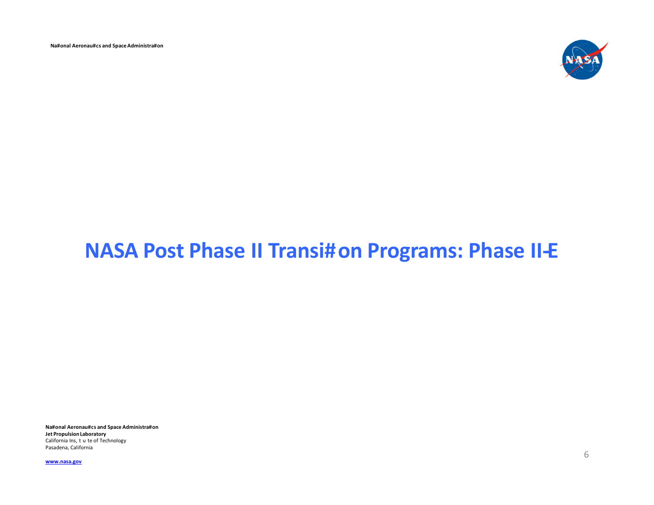Na#onal Aeronau#cs and Space Administra#on



### **NASA Post Phase II Transi#on Programs: Phase II-E**

Na#onal Aeronau#cs and Space Administra#on Jet Propulsion Laboratory California Ins, t u te of Technology Pasadena, California

www.nasa.gov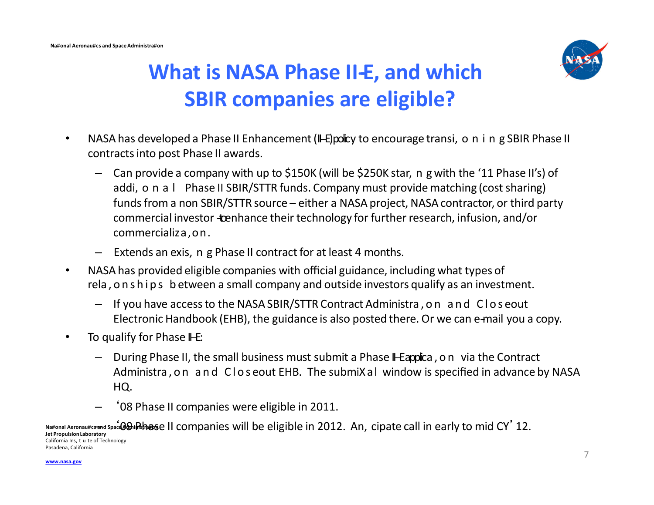

# **What is NASA Phase II-E, and which SBIR companies are eligible?**

- NASA has developed a Phase II Enhancement (I-E) policy to encourage transi, o n i n g SBIR Phase II contracts into post Phase II awards.
	- Can provide a company with up to \$150K (will be \$250K star, n g with the '11 Phase II's) of addi, o n a l Phase II SBIR/STTR funds. Company must provide matching (cost sharing) funds from a non SBIR/STTR source – either a NASA project, NASA contractor, or third party commercial investor - tenhance their technology for further research, infusion, and/or commercializa,on.
	- Extends an exis, n g Phase II contract for at least 4 months.
- NASA has provided eligible companies with official guidance, including what types of rela,onships b etween a small company and outside investors qualify as an investment.
	- If you have access to the NASA SBIR/STTR Contract Administra,on and Clos eout Electronic Handbook (EHB), the guidance is also posted there. Or we can e-mail you a copy.
- To qualify for Phase  $H\text{-}E$ :
	- During Phase II, the small business must submit a Phase II-E applica, on via the Contract Administra,on and Clos eout EHB. The submiXal window is specified in advance by NASA HQ.
	- '08 Phase II companies were eligible in 2011.

**Na#onal Aeronau#c<del>san</del>d Space@@ipRpagse** II companies will be eligible in 2012. An, cipate call in early to mid CY'12. **Jet Propulsion Laboratory**  California Ins, t u te of Technology Pasadena, California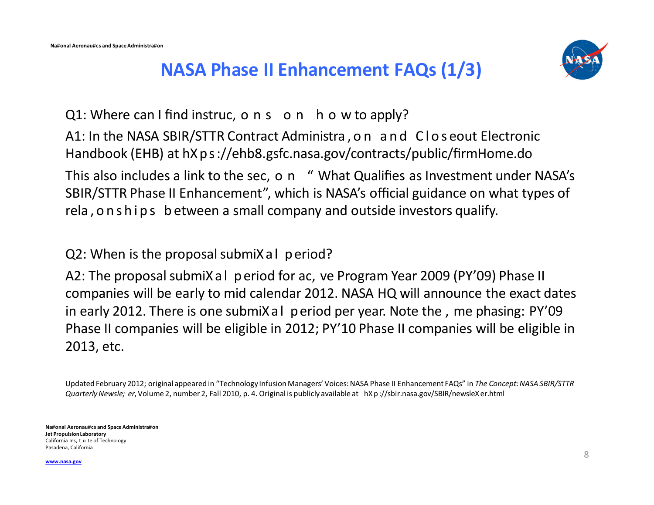

#### **NASA Phase II Enhancement FAQs (1/3)**

 $Q1$ : Where can I find instruc, o n s o n h o w to apply? A1: In the NASA SBIR/STTR Contract Administra,on and Clos eout Electronic Handbook (EHB) at hXps://ehb8.gsfc.nasa.gov/contracts/public/firmHome.do This also includes a link to the sec, o n " What Qualifies as Investment under NASA's SBIR/STTR Phase II Enhancement", which is NASA's official guidance on what types of rela, onships between a small company and outside investors qualify.

Q2: When is the proposal submiXal period?

A2: The proposal submiXal period for ac, ve Program Year 2009 (PY'09) Phase II companies will be early to mid calendar 2012. NASA HQ will announce the exact dates in early 2012. There is one submiXal period per year. Note the , me phasing: PY'09 Phase II companies will be eligible in 2012; PY'10 Phase II companies will be eligible in 2013, etc.

Updated February 2012; original appeared in "Technology Infusion Managers' Voices: NASA Phase II Enhancement FAQs" in *The Concept: NASA SBIR/STTR Quarterly Newsle; er*, Volume 2, number 2, Fall 2010, p. 4. Original is publicly available at hX p://sbir.nasa.gov/SBIR/newsleXer.html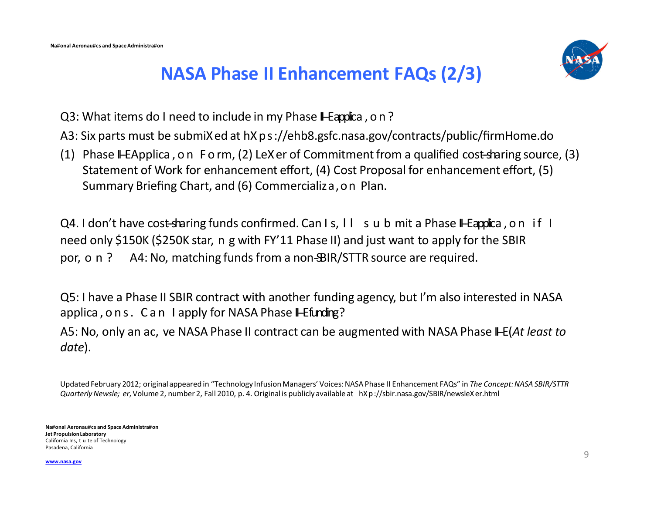

#### **NASA Phase II Enhancement FAQs (2/3)**

- Q3: What items do I need to include in my Phase I-E applica, on?
- A3: Six parts must be submiXed at hXps://ehb8.gsfc.nasa.gov/contracts/public/firmHome.do
- (1) Phase II--E Applica, on Form, (2) LeXer of Commitment from a qualified cost-sharing source, (3) Statement of Work for enhancement effort, (4) Cost Proposal for enhancement effort, (5) Summary Briefing Chart, and (6) Commercializa,on Plan.

Q4. I don't have cost-sharing funds confirmed. Can I s, II sub mit a Phase II-E applica, on if I need only \$150K (\$250K star, n g with FY'11 Phase II) and just want to apply for the SBIR por,  $o \nvert$   $?$  A4: No, matching funds from a non-BIR/STTR source are required.

Q5: I have a Phase II SBIR contract with another funding agency, but I'm also interested in NASA applica, ons. Can I apply for NASA Phase II-E funding?

A5: No, only an ac, ve NASA Phase II contract can be augmented with NASA Phase II-E (*At least to date*).

Updated February 2012; original appeared in "Technology Infusion Managers' Voices: NASA Phase II Enhancement FAQs" in *The Concept: NASA SBIR/STTR Quarterly Newsle; er*, Volume 2, number 2, Fall 2010, p. 4. Original is publicly available at hX p://sbir.nasa.gov/SBIR/newsleXer.html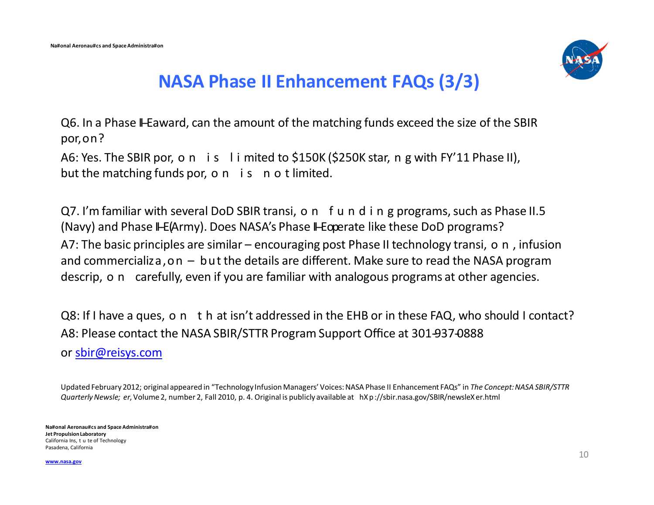

#### **NASA Phase II Enhancement FAQs (3/3)**

Q6. In a Phase II-E award, can the amount of the matching funds exceed the size of the SBIR por,on?

A6: Yes. The SBIR por, o n is limited to \$150K (\$250K star, n g with FY'11 Phase II), but the matching funds por, o  $n$  is not limited.

Q7. I'm familiar with several DoD SBIR transi, o n f u n d i n g programs, such as Phase II.5 (Navy) and Phase II-E (Army). Does NASA's Phase II-E operate like these DoD programs? A7: The basic principles are similar – encouraging post Phase II technology transi, o n, infusion and commercializa, on  $-$  but the details are different. Make sure to read the NASA program descrip, o n carefully, even if you are familiar with analogous programs at other agencies.

Q8: If I have a ques, o n t h at isn't addressed in the EHB or in these FAQ, who should I contact? A8: Please contact the NASA SBIR/STTR Program Support Office at 301-937-0888 or [sbir@reisys.com](mailto:sbir@reisys.com)

Updated February 2012; original appeared in "Technology Infusion Managers' Voices: NASA Phase II Enhancement FAQs" in *The Concept: NASA SBIR/STTR Quarterly Newsle; er*, Volume 2, number 2, Fall 2010, p. 4. Original is publicly available at hX p://sbir.nasa.gov/SBIR/newsleXer.html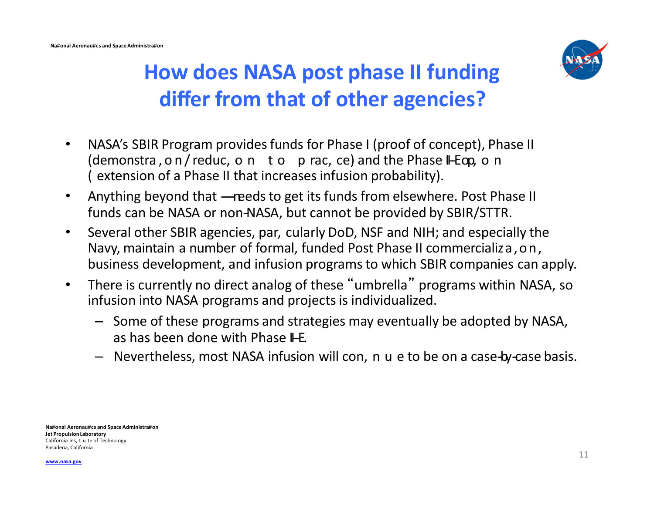

# **How does NASA post phase II funding differ from that of other agencies?**

- NASA's SBIR Program provides funds for Phase I (proof of concept), Phase II (demonstra, on/reduc, on to p rac, ce) and the Phase II-E op, on ( extension of a Phase II that increases infusion probability).
- Anything beyond that ----reeds to get its funds from elsewhere. Post Phase II funds can be NASA or non-NASA, but cannot be provided by SBIR/STTR.
- Several other SBIR agencies, par, cularly DoD, NSF and NIH; and especially the Navy, maintain a number of formal, funded Post Phase II commercializa,on, business development, and infusion programs to which SBIR companies can apply.
- There is currently no direct analog of these "umbrella" programs within NASA, so infusion into NASA programs and projects is individualized.
	- Some of these programs and strategies may eventually be adopted by NASA, as has been done with Phase  $IF.$
	- Nevertheless, most NASA infusion will con, n u e to be on a case-by-case basis.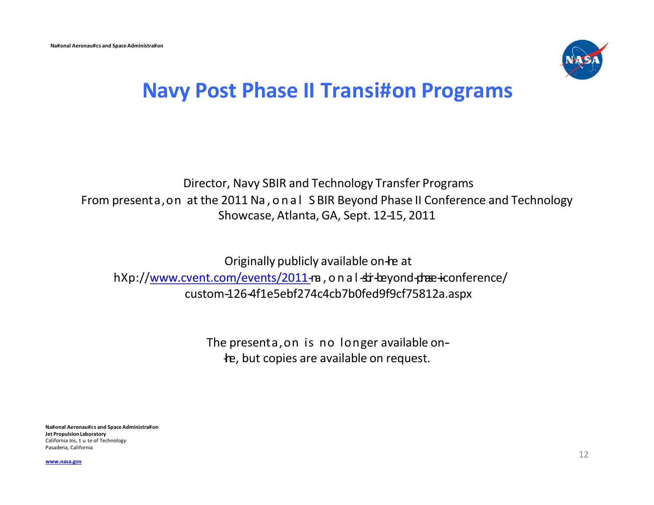

### **Navy Post Phase II Transi#on Programs**

#### Director, Navy SBIR and Technology Transfer Programs From presenta,on at the 2011 Na,onal S BIR Beyond Phase II Conference and Technology Showcase, Atlanta, GA, Sept. 12-15, 2011

Originally publicly available on-re at hXp://www.cvent.com/events/2011-ra, on al-str-beyond-phase-iconference/ custom-126-4f1e5ebf274c4cb7b0fed9f9cf75812a.aspx

> The presenta,on is no longer available on- the, but copies are available on request.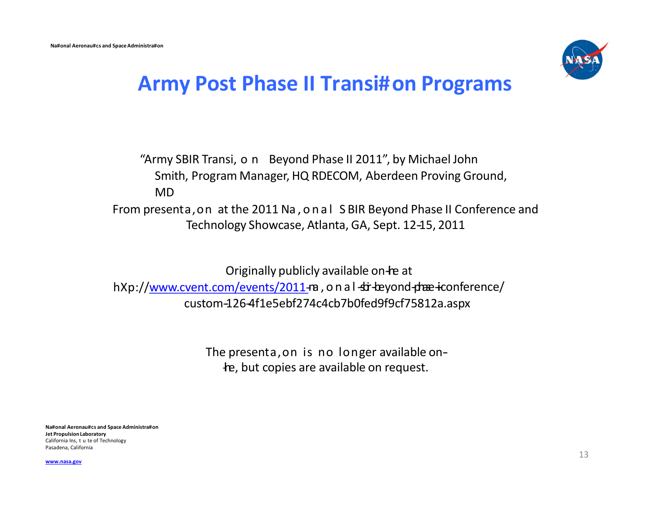

#### **Army Post Phase II Transi#on Programs**

"Army SBIR Transi,on Beyond Phase II 2011", by Michael John Smith, Program Manager, HQ RDECOM, Aberdeen Proving Ground, MD From presenta,on at the 2011 Na,onal S BIR Beyond Phase II Conference and Technology Showcase, Atlanta, GA, Sept. 12-15, 2011

Originally publicly available on-re at hXp://www.cvent.com/events/2011-m, on al-str-beyond-phase-iconference/ custom-126-4f1e5ebf274c4cb7b0fed9f9cf75812a.aspx

> The presenta, on is no longer available onthe, but copies are available on request.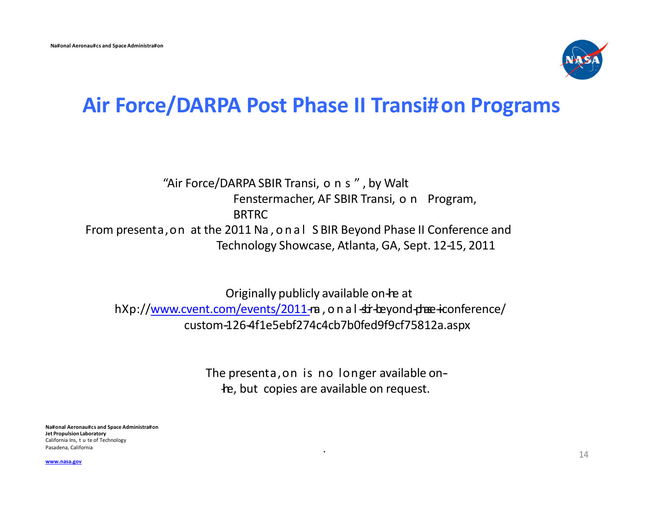

#### **Air Force/DARPA Post Phase II Transi#on Programs**

#### "Air Force/DARPA SBIR Transi, o n s ", by Walt Fenstermacher, AF SBIR Transi, o n Program, BRTRC From presenta,on at the 2011 Na,onal S BIR Beyond Phase II Conference and Technology Showcase, Atlanta, GA, Sept. 12-15, 2011

Originally publicly available on-re at hXp://www.cvent.com/events/2011-ra, on al-str-beyond-phase-iconference/ custom-126-4f1e5ebf274c4cb7b0fed9f9cf75812a.aspx

> The presenta, on is no longer available onthe, but copies are available on request.

. Pasadena, California **Na#onal Aeronau#cs and Space Administra#on Jet Propulsion Laboratory**  California Ins, t u te of Technology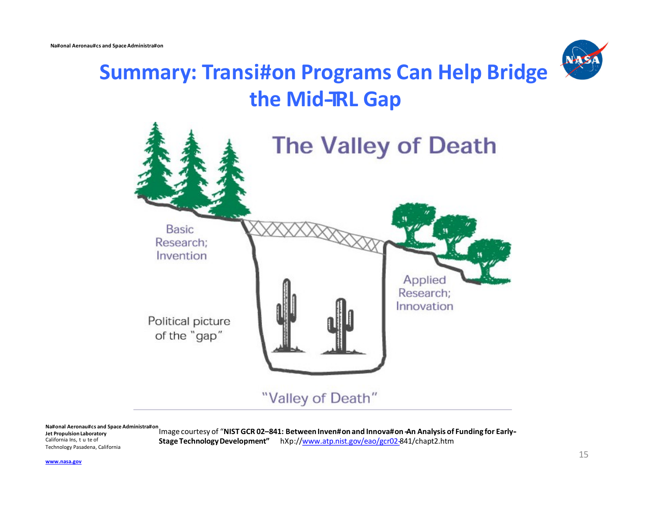

# **Summary: Transi#on Programs Can Help Bridge** the Mid-RL Gap



**Jet Propulsion Laboratory** California Ins, t u te of Technology Pasadena, California

Na#onal Aeronau#cs and Space Administra#on<br>Image courtesy of "NIST GCR 02-841: Between Inven#on and Innova#on -An Analysis of Funding for Early-Stage Technology Development" hXp://www.atp.nist.gov/eao/gcr02-841/chapt2.htm